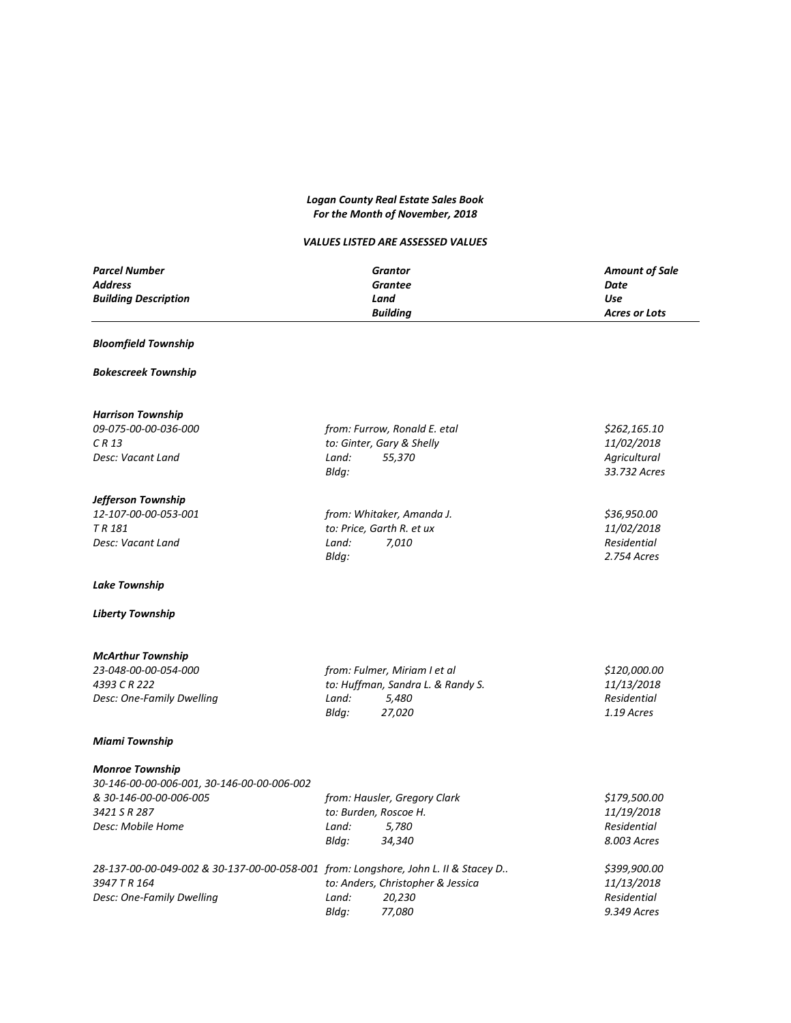# *Logan County Real Estate Sales Book For the Month of November, 2018*

# *VALUES LISTED ARE ASSESSED VALUES*

| <b>Parcel Number</b>        | Grantor         | <b>Amount of Sale</b> |
|-----------------------------|-----------------|-----------------------|
| <b>Address</b>              | Grantee         | Date                  |
| <b>Building Description</b> | Land            | Use                   |
|                             | <b>Buildina</b> | Acres or Lots         |

### *Bloomfield Township*

#### *Bokescreek Township*

*Harrison Township*

| <i>09-075-00-00-036-000</i> | from: Furrow, Ronald E. etal | \$262.165.10      |
|-----------------------------|------------------------------|-------------------|
| C R 13                      | to: Ginter, Gary & Shelly    | <i>11/02/2018</i> |
| Desc: Vacant Land           | 55.370<br>Land:              | Agricultural      |

### *Jefferson Township*

*12-107-00-00-053-001 from: Whitaker, Amanda J. \$36,950.00 T R 181 to: Price, Garth R. et ux 11/02/2018 Desc: Vacant Land Land: 7,010 Residential*

### *Lake Township*

#### *Liberty Township*

*McArthur Township 4393 C R 222 to: Huffman, Sandra L. & Randy S. 11/13/2018 Desc: One-Family Dwelling Land: 5,480 Residential*

### *Miami Township*

### *Monroe Township*

| 30-146-00-00-006-001, 30-146-00-00-006-002 |
|--------------------------------------------|
| & 30-146-00-00-006-005                     |
| 3421 S R 287                               |
| Desc: Mobile Home                          |
|                                            |

*3947 T R 164 to: Anders, Christopher & Jessica 11/13/2018*

*Desc: One-Family Dwelling Land:* 20,230

| <b>IVIUIIIUC TUWIISIIIU</b>                                                        |                       |                              |              |
|------------------------------------------------------------------------------------|-----------------------|------------------------------|--------------|
| 30-146-00-00-006-001, 30-146-00-00-006-002                                         |                       |                              |              |
| & 30-146-00-00-006-005                                                             |                       | from: Hausler, Gregory Clark | \$179,500.00 |
| 3421 S R 287                                                                       | to: Burden, Roscoe H. |                              | 11/19/2018   |
| Desc: Mobile Home                                                                  | Land:                 | 5.780                        | Residential  |
|                                                                                    | Blda:                 | 34,340                       | 8.003 Acres  |
| 28-137-00-00-049-002 & 30-137-00-00-058-001 from: Longshore, John L. II & Stacey D |                       |                              | \$399,900.00 |

*Bldg: 33.732 Acres*

*Bldg: 2.754 Acres*

*23-048-00-00-054-000 from: Fulmer, Miriam I et al \$120,000.00*

*Bldg: 27,020 1.19 Acres*

| from: Longshore, John L. II & Stacey D |                                   | \$399,900.00 |  |
|----------------------------------------|-----------------------------------|--------------|--|
|                                        | to: Anders, Christopher & Jessica | 11/13/2018   |  |
| Land:                                  | 20.230                            | Residential  |  |
| Blda:                                  | 77.080                            | 9.349 Acres  |  |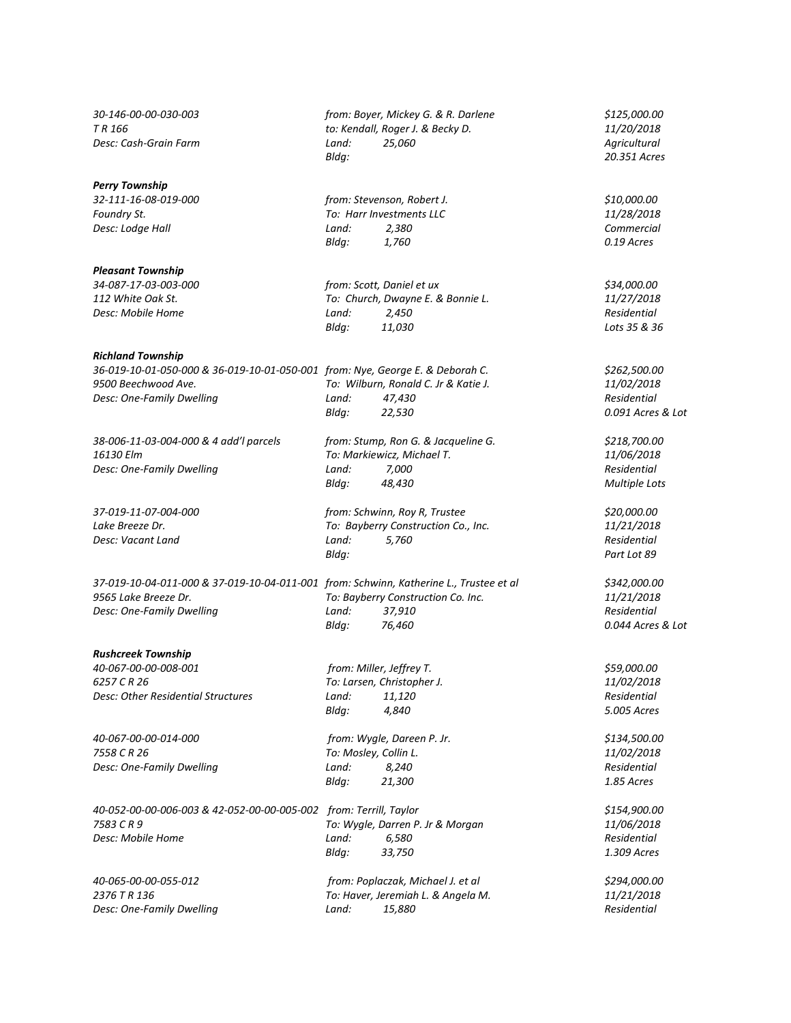#### *Perry Township*

*Pleasant Township*

# *Richland Township*

*36-019-10-01-050-000 & 36-019-10-01-050-001 from: Nye, George E. & Deborah C. \$262,500.00*

*38-006-11-03-004-000 & 4 add'l parcels from: Stump, Ron G. & Jacqueline G. \$218,700.00 16130 Elm To: Markiewicz, Michael T. 11/06/2018 Desc: One-Family Dwelling Land: 7,000 Residential*

*37-019-10-04-011-000 & 37-019-10-04-011-001 from: Schwinn, Katherine L., Trustee et al \$342,000.00*

#### *Rushcreek Township*

*40-067-00-00-008-001 from: Miller, Jeffrey T. \$59,000.00 6257 C R 26 To: Larsen, Christopher J. 11/02/2018 Desc: Other Residential Structures Land: 11,120 Residential*

*40-067-00-00-014-000 from: Wygle, Dareen P. Jr. \$134,500.00 7558 C R 26 To: Mosley, Collin L. 11/02/2018 Desc: One-Family Dwelling Land: 8,240 Residential*

*40-052-00-00-006-003 & 42-052-00-00-005-002 from: Terrill, Taylor \$154,900.00*

*30-146-00-00-030-003 from: Boyer, Mickey G. & R. Darlene \$125,000.00 T R 166 to: Kendall, Roger J. & Becky D. 11/20/2018 Desc: Cash-Grain Farm Land: 25,060 Agricultural Bldg: 20.351 Acres*

*32-111-16-08-019-000 from: Stevenson, Robert J. \$10,000.00 Foundry St. To: Harr Investments LLC 11/28/2018 Desc: Lodge Hall Land: 2,380 Commercial Bldg: 1,760 0.19 Acres*

*34-087-17-03-003-000 from: Scott, Daniel et ux \$34,000.00 112 White Oak St. To: Church, Dwayne E. & Bonnie L. 11/27/2018 Desc: Mobile Home Land: 2,450 Residential Bldg: 11,030 Lots 35 & 36*

*9500 Beechwood Ave. To: Wilburn, Ronald C. Jr & Katie J. 11/02/2018 Desc: One-Family Dwelling Land: 47,430 Residential Bldg: 22,530 0.091 Acres & Lot*

*Bldg: 48,430 Multiple Lots*

*37-019-11-07-004-000 from: Schwinn, Roy R, Trustee \$20,000.00 Lake Breeze Dr. To: Bayberry Construction Co., Inc. 11/21/2018 Desc: Vacant Land Land: 5,760 Residential Bldg: Part Lot 89*

*9565 Lake Breeze Dr. To: Bayberry Construction Co. Inc. 11/21/2018 Desc: One-Family Dwelling Land: 37,910 Residential Bldg: 76,460 0.044 Acres & Lot*

*Bldg: 4,840 5.005 Acres*

*Bldg: 21,300 1.85 Acres*

*7583 C R 9 To: Wygle, Darren P. Jr & Morgan 11/06/2018 Desc: Mobile Home Land: 6,580 Residential Bldg: 33,750 1.309 Acres*

*40-065-00-00-055-012 from: Poplaczak, Michael J. et al \$294,000.00 2376 T R 136 To: Haver, Jeremiah L. & Angela M. 11/21/2018 Desc: One-Family Dwelling Land: 15,880 Residential*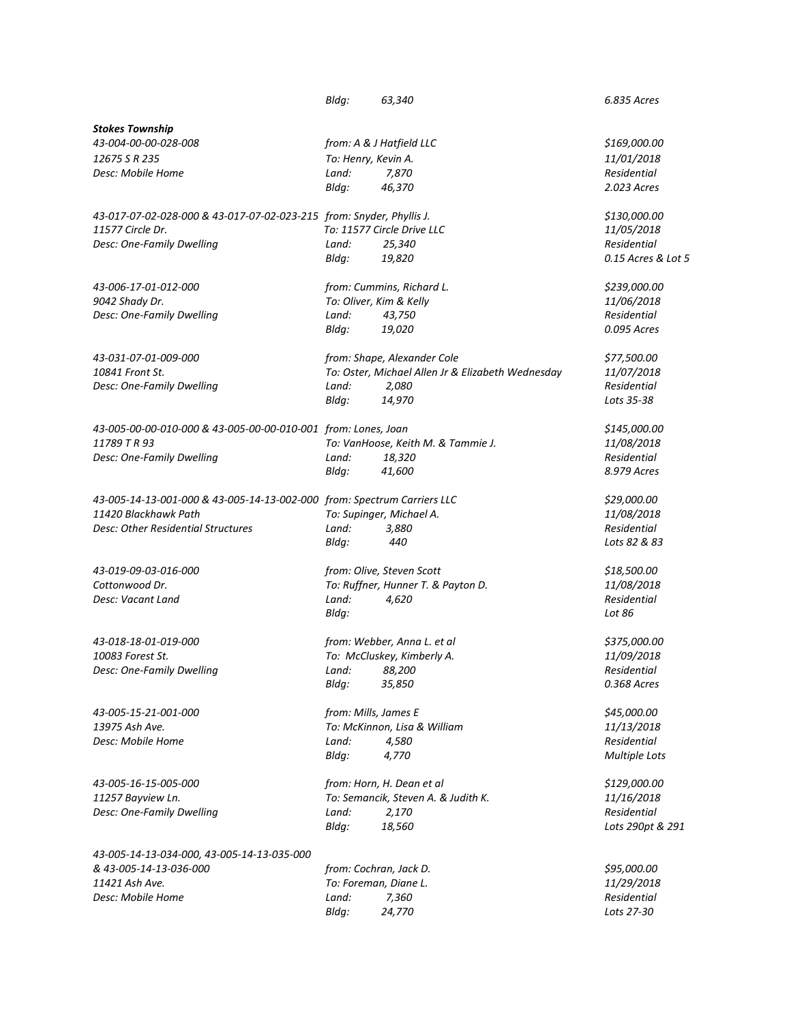|                                                                         | Bldg:                | 63,340                                            | 6.835 Acres                       |
|-------------------------------------------------------------------------|----------------------|---------------------------------------------------|-----------------------------------|
|                                                                         |                      |                                                   |                                   |
| <b>Stokes Township</b><br>43-004-00-00-028-008                          |                      | from: A & J Hatfield LLC                          | \$169,000.00                      |
| 12675 S R 235                                                           | To: Henry, Kevin A.  |                                                   | 11/01/2018                        |
| Desc: Mobile Home                                                       | Land:                | 7,870                                             | Residential                       |
|                                                                         | Bldg:                | 46,370                                            | 2.023 Acres                       |
| 43-017-07-02-028-000 & 43-017-07-02-023-215 from: Snyder, Phyllis J.    |                      |                                                   | \$130,000.00                      |
| 11577 Circle Dr.                                                        |                      | To: 11577 Circle Drive LLC                        | 11/05/2018                        |
| Desc: One-Family Dwelling                                               | Land:<br>Bldg:       | 25,340<br>19,820                                  | Residential<br>0.15 Acres & Lot 5 |
| 43-006-17-01-012-000                                                    |                      | from: Cummins, Richard L.                         | \$239,000.00                      |
| 9042 Shady Dr.                                                          |                      | To: Oliver, Kim & Kelly                           | 11/06/2018                        |
| Desc: One-Family Dwelling                                               | Land:                | 43,750                                            | Residential                       |
|                                                                         | Bldg:                | 19,020                                            | 0.095 Acres                       |
| 43-031-07-01-009-000                                                    |                      | from: Shape, Alexander Cole                       | \$77,500.00                       |
| 10841 Front St.                                                         |                      | To: Oster, Michael Allen Jr & Elizabeth Wednesday | 11/07/2018                        |
| Desc: One-Family Dwelling                                               | Land:                | 2,080                                             | Residential                       |
|                                                                         | Bldg:                | 14,970                                            | Lots 35-38                        |
| 43-005-00-00-010-000 & 43-005-00-00-010-001 from: Lones, Joan           |                      |                                                   | \$145,000.00                      |
| 11789 T R 93                                                            |                      | To: VanHoose, Keith M. & Tammie J.                | 11/08/2018                        |
| Desc: One-Family Dwelling                                               | Land:                | 18,320                                            | Residential                       |
|                                                                         | Bldg:                | 41,600                                            | 8.979 Acres                       |
| 43-005-14-13-001-000 & 43-005-14-13-002-000 from: Spectrum Carriers LLC |                      |                                                   | \$29,000.00                       |
| 11420 Blackhawk Path                                                    |                      | To: Supinger, Michael A.                          | 11/08/2018                        |
| Desc: Other Residential Structures                                      | Land:                | 3,880                                             | Residential                       |
|                                                                         | Bldg:                | 440                                               | Lots 82 & 83                      |
| 43-019-09-03-016-000                                                    |                      | from: Olive, Steven Scott                         | \$18,500.00                       |
| Cottonwood Dr.                                                          |                      | To: Ruffner, Hunner T. & Payton D.                | 11/08/2018                        |
| Desc: Vacant Land                                                       | Land:                | 4,620                                             | Residential                       |
|                                                                         | Bldg:                |                                                   | Lot 86                            |
| 43-018-18-01-019-000                                                    |                      | from: Webber, Anna L. et al                       | \$375,000.00                      |
| 10083 Forest St.                                                        |                      | To: McCluskey, Kimberly A.                        | 11/09/2018                        |
| Desc: One-Family Dwelling                                               | Land:                | 88,200                                            | Residential                       |
|                                                                         | Bldg:                | 35,850                                            | 0.368 Acres                       |
| 43-005-15-21-001-000                                                    | from: Mills, James E |                                                   | \$45,000.00                       |
| 13975 Ash Ave.                                                          |                      | To: McKinnon, Lisa & William                      | 11/13/2018                        |
| Desc: Mobile Home                                                       | Land:                | 4,580                                             | <b>Residential</b>                |
|                                                                         | Bldg:                | 4,770                                             | <b>Multiple Lots</b>              |
| 43-005-16-15-005-000                                                    |                      | from: Horn, H. Dean et al                         | \$129,000.00                      |
| 11257 Bayview Ln.                                                       |                      | To: Semancik, Steven A. & Judith K.               | 11/16/2018                        |
| Desc: One-Family Dwelling                                               | Land:                | 2,170                                             | Residential                       |
|                                                                         | Bldg:                | 18,560                                            | Lots 290pt & 291                  |
| 43-005-14-13-034-000, 43-005-14-13-035-000                              |                      |                                                   |                                   |
| & 43-005-14-13-036-000                                                  |                      | from: Cochran, Jack D.                            | \$95,000.00                       |
| 11421 Ash Ave.                                                          |                      | To: Foreman, Diane L.                             | 11/29/2018<br>Residential         |
| Desc: Mobile Home                                                       | Land:<br>Bldg:       | 7,360<br>24,770                                   | Lots 27-30                        |
|                                                                         |                      |                                                   |                                   |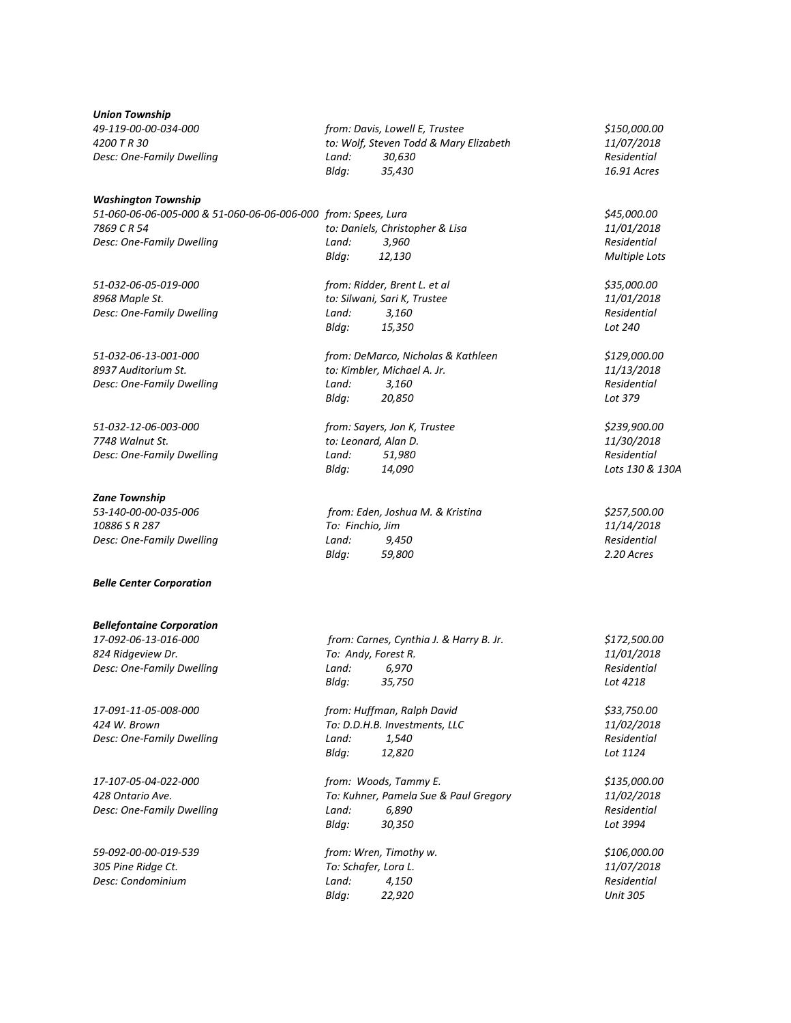*Union Township*

# *Washington Township 51-060-06-06-005-000 & 51-060-06-06-006-000 from: Spees, Lura \$45,000.00 7869 C R 54 to: Daniels, Christopher & Lisa 11/01/2018 Desc: One-Family Dwelling Land: 3,960 Residential*

*51-032-06-05-019-000 from: Ridder, Brent L. et al \$35,000.00*

*51-032-12-06-003-000 from: Sayers, Jon K, Trustee \$239,900.00 7748 Walnut St. to: Leonard, Alan D. 11/30/2018 Desc: One-Family Dwelling Land: 51,980 Residential*

### *Zane Township*

# *Belle Center Corporation*

#### *Bellefontaine Corporation*

*17-091-11-05-008-000 from: Huffman, Ralph David \$33,750.00*

*Desc: One-Family Dwelling Land:* 6,890

*59-092-00-00-019-539 from: Wren, Timothy w. \$106,000.00*

*49-119-00-00-034-000 from: Davis, Lowell E, Trustee \$150,000.00 4200 T R 30 to: Wolf, Steven Todd & Mary Elizabeth 11/07/2018 Desc: One-Family Dwelling Land: 30,630 Residential Bldg: 35,430 16.91 Acres*

*Bldg: 12,130 Multiple Lots*

*8968 Maple St. to: Silwani, Sari K, Trustee 11/01/2018 Desc: One-Family Dwelling Land: 3,160 Residential Bldg: 15,350 Lot 240*

*51-032-06-13-001-000 from: DeMarco, Nicholas & Kathleen \$129,000.00 8937 Auditorium St. to: Kimbler, Michael A. Jr. 11/13/2018 Desc: One-Family Dwelling Land: 3,160 Residential Bldg: 20,850 Lot 379*

*Bldg: 14,090 Lots 130 & 130A*

*53-140-00-00-035-006 from: Eden, Joshua M. & Kristina \$257,500.00 10886 S R 287 To: Finchio, Jim 11/14/2018 Desc: One-Family Dwelling Land: 9,450 Residential Bldg: 59,800 2.20 Acres*

*17-092-06-13-016-000 from: Carnes, Cynthia J. & Harry B. Jr. \$172,500.00 824 Ridgeview Dr. To: Andy, Forest R. 11/01/2018 Desc: One-Family Dwelling Land: 6,970 Residential Bldg: 35,750 Lot 4218*

*424 W. Brown To: D.D.H.B. Investments, LLC 11/02/2018 Desc: One-Family Dwelling Land: 1,540 Residential Bldg: 12,820 Lot 1124*

*17-107-05-04-022-000 from: Woods, Tammy E. \$135,000.00 428 Ontario Ave. To: Kuhner, Pamela Sue & Paul Gregory 11/02/2018 Bldg: 30,350 Lot 3994*

*305 Pine Ridge Ct. To: Schafer, Lora L. 11/07/2018 Desc: Condominium Land: 4,150 Residential Bldg: 22,920 Unit 305*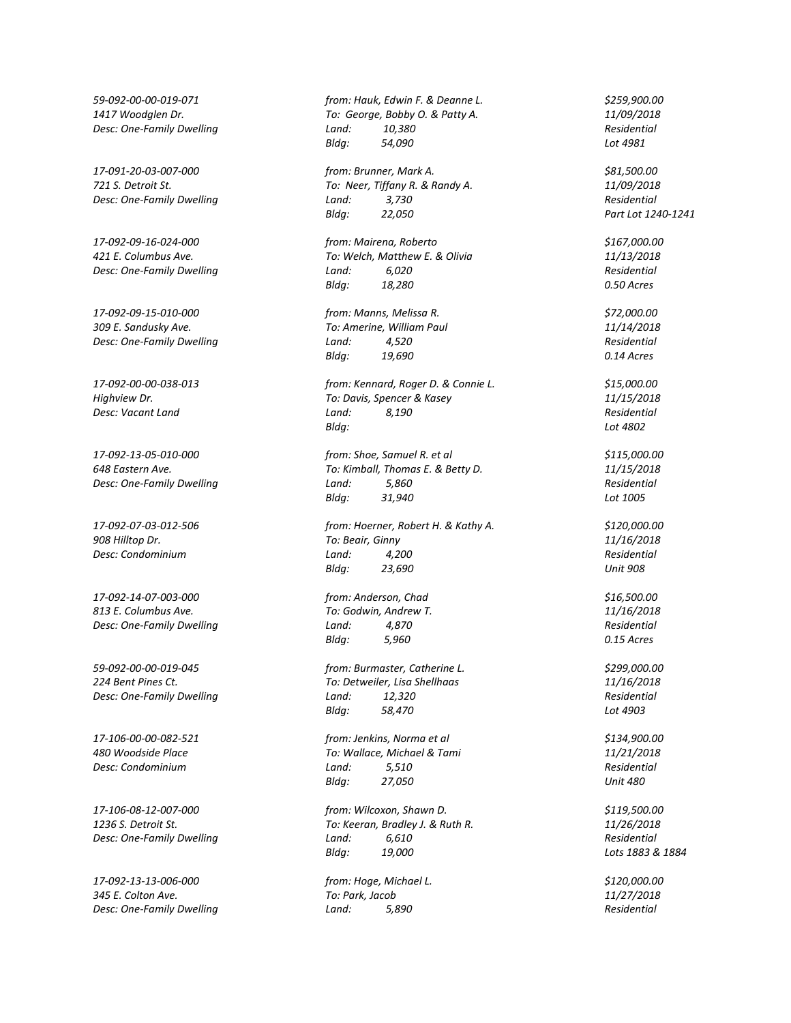*309 E. Sandusky Ave. To: Amerine, William Paul 11/14/2018 Desc: One-Family Dwelling Land: 4,520 Residential*

**Desc: Condominium** *Land:* 

*17-092-14-07-003-000 from: Anderson, Chad \$16,500.00 813 E. Columbus Ave. To: Godwin, Andrew T. 11/16/2018 Desc: One-Family Dwelling Land: 4,870 Residential*

*59-092-00-00-019-045 from: Burmaster, Catherine L. \$299,000.00*

*17-092-13-13-006-000 from: Hoge, Michael L. \$120,000.00 345 E. Colton Ave. To: Park, Jacob 11/27/2018 Desc: One-Family Dwelling Land: 5,890 Residential*

*59-092-00-00-019-071 from: Hauk, Edwin F. & Deanne L. \$259,900.00 1417 Woodglen Dr. To: George, Bobby O. & Patty A. 11/09/2018 Desc: One-Family Dwelling Land: 10,380 Residential Bldg: 54,090 Lot 4981*

*17-091-20-03-007-000 from: Brunner, Mark A. \$81,500.00 721 S. Detroit St. To: Neer, Tiffany R. & Randy A. 11/09/2018 Desc: One-Family Dwelling Land: 3,730 Residential Bldg: 22,050 Part Lot 1240-1241*

*17-092-09-16-024-000 from: Mairena, Roberto \$167,000.00 421 E. Columbus Ave. To: Welch, Matthew E. & Olivia 11/13/2018 Desc: One-Family Dwelling Land: 6,020 Residential*

*17-092-09-15-010-000 from: Manns, Melissa R. \$72,000.00 Bldg: 19,690 0.14 Acres*

*17-092-00-00-038-013 from: Kennard, Roger D. & Connie L. \$15,000.00 Highview Dr. To: Davis, Spencer & Kasey 11/15/2018 Desc: Vacant Land Land: 8,190 Residential Bldg: Lot 4802*

*17-092-13-05-010-000 from: Shoe, Samuel R. et al \$115,000.00 648 Eastern Ave. To: Kimball, Thomas E. & Betty D. 11/15/2018 Desc: One-Family Dwelling Land: 5,860 Residential Bldg: 31,940 Lot 1005*

*17-092-07-03-012-506 from: Hoerner, Robert H. & Kathy A. \$120,000.00 908 Hilltop Dr. To: Beair, Ginny 11/16/2018 Bldg: 23,690 Unit 908*

*Bldg: 5,960 0.15 Acres*

*224 Bent Pines Ct. To: Detweiler, Lisa Shellhaas 11/16/2018 Desc: One-Family Dwelling Land: 12,320 Residential Bldg: 58,470 Lot 4903*

*17-106-00-00-082-521 from: Jenkins, Norma et al \$134,900.00 480 Woodside Place To: Wallace, Michael & Tami 11/21/2018 Desc: Condominium Land: 5,510 Residential Bldg: 27,050 Unit 480*

*17-106-08-12-007-000 from: Wilcoxon, Shawn D. \$119,500.00 1236 S. Detroit St. To: Keeran, Bradley J. & Ruth R. 11/26/2018 Desc: One-Family Dwelling Land: 6,610 Residential Bldg: 19,000 Lots 1883 & 1884*

*Bldg: 18,280 0.50 Acres*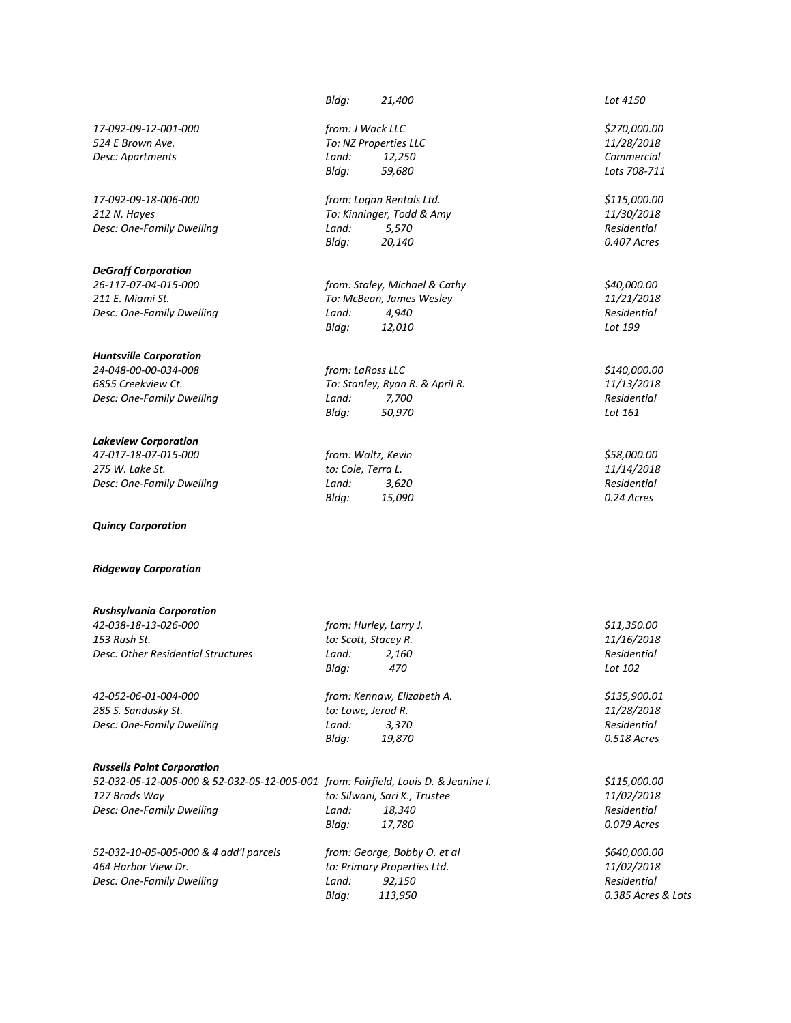*17-092-09-12-001-000 from: J Wack LLC \$270,000.00 524 E Brown Ave. To: NZ Properties LLC 11/28/2018*

*17-092-09-18-006-000 from: Logan Rentals Ltd. \$115,000.00 212 N. Hayes To: Kinninger, Todd & Amy 11/30/2018 Desc: One-Family Dwelling Land: 5,570 Residential*

# *DeGraff Corporation*

*211 E. Miami St. To: McBean, James Wesley 11/21/2018 Desc: One-Family Dwelling Land: 4,940 Residential*

# *Huntsville Corporation*

*24-048-00-00-034-008 from: LaRoss LLC \$140,000.00 6855 Creekview Ct. To: Stanley, Ryan R. & April R. 11/13/2018 Desc: One-Family Dwelling Land: 7,700 Residential*

# *Lakeview Corporation*

*47-017-18-07-015-000 from: Waltz, Kevin \$58,000.00 Desc: One-Family Dwelling Land: 3,620 Residential*

*Quincy Corporation*

#### *Ridgeway Corporation*

# *Rushsylvania Corporation*

*42-038-18-13-026-000 from: Hurley, Larry J. \$11,350.00 Desc: Other Residential Structures Land: 2,160 Residential*

*42-052-06-01-004-000 from: Kennaw, Elizabeth A. \$135,900.01 285 S. Sandusky St. to: Lowe, Jerod R. 11/28/2018 Desc: One-Family Dwelling Land: 3,370* 

#### *Russells Point Corporation*

| 52-032-05-12-005-000 & 52-032-05-12-005-001 from: Fairfield, Louis D. & Jeanine I. |                 | \$115,000.00                  |              |
|------------------------------------------------------------------------------------|-----------------|-------------------------------|--------------|
| 127 Brads Way                                                                      |                 | to: Silwani, Sari K., Trustee | 11/02/2018   |
| Desc: One-Family Dwelling                                                          | Land:           | 18.340                        | Residential  |
|                                                                                    | Blda:<br>17.780 |                               | 0.079 Acres  |
| 52-032-10-05-005-000 & 4 add'l parcels                                             |                 | from: George, Bobby O. et al  | \$640,000.00 |

*153 Rush St. to: Scott, Stacey R. 11/16/2018*

*Bldg: 19,870 0.518 Acres*

*Bldg: 470 Lot 102*

| 52-032-10-05-005-000 & 4 add'l parcels | from: George, Bobby O. et al | \$640,000.00       |  |
|----------------------------------------|------------------------------|--------------------|--|
| 464 Harbor View Dr.                    | to: Primary Properties Ltd.  | <i>11/02/2018</i>  |  |
| Desc: One-Family Dwelling              | 92.150<br>Land:              | Residential        |  |
|                                        | Blda:<br>113.950             | 0.385 Acres & Lots |  |

*Bldg: 21,400 Lot 4150*

*Desc: Apartments Land: 12,250 Commercial Bldg: 59,680 Lots 708-711*

*Bldg: 20,140 0.407 Acres*

*26-117-07-04-015-000 from: Staley, Michael & Cathy \$40,000.00 Bldg: 12,010 Lot 199*

*Bldg: 50,970 Lot 161*

*275 W. Lake St. to: Cole, Terra L. 11/14/2018 Bldg: 15,090 0.24 Acres*